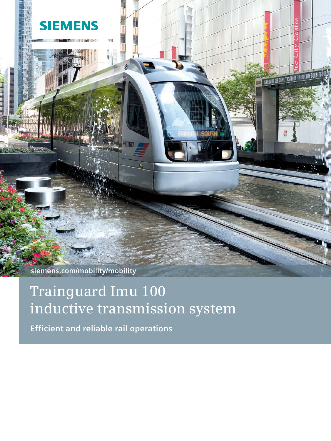

# **Trainguard Imu 100 inductive transmission system**

**Efficient and reliable rail operations**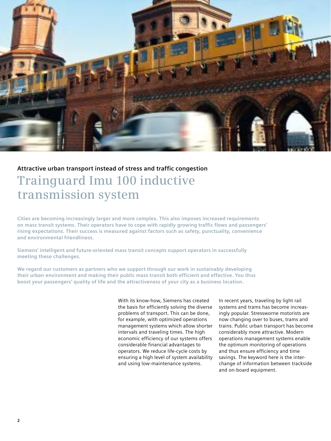

# **Attractive urban transport instead of stress and traffic congestion Trainguard Imu 100 inductive transmission system**

**Cities are becoming increasingly larger and more complex. This also imposes increased requirements on mass transit systems. Their operators have to cope with rapidly growing traffic flows and passengers' rising expectations. Their success is measured against factors such as safety, punctuality, convenience and environmental friendliness.**

**Siemens' intelligent and future-oriented mass transit concepts support operators in successfully meeting these challenges.**

**We regard our customers as partners who we support through our work in sustainably developing their urban environment and making their public mass transit both efficient and effective. You thus boost your passengers' quality of life and the attractiveness of your city as a business location.**

> With its know-how, Siemens has created the basis for efficiently solving the diverse problems of transport. This can be done, for example, with optimized operations management systems which allow shorter intervals and traveling times. The high economic efficiency of our systems offers considerable financial advantages to operators. We reduce life-cycle costs by ensuring a high level of system availability and using low-maintenance systems.

In recent years, traveling by light rail systems and trams has become increasingly popular. Stressworne motorists are now changing over to buses, trams and trains. Public urban transport has become considerably more attractive. Modern operations management systems enable the optimum monitoring of operations and thus ensure efficiency and time savings. The keyword here is the interchange of information between trackside and on-board equipment.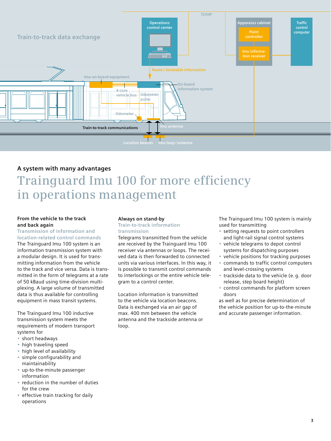

### **A system with many advantages**

# **Trainguard Imu 100 for more efficiency in operations management**

#### **From the vehicle to the track and back again**

**Transmission of information and location-related control commands** The Trainguard Imu 100 system is an information transmission system with a modular design. It is used for transmitting information from the vehicle to the track and vice versa. Data is transmitted in the form of telegrams at a rate of 50 kBaud using time-division multiplexing. A large volume of transmitted data is thus available for controlling equipment in mass transit systems.

The Trainguard Imu 100 inductive transmission system meets the requirements of modern transport systems for

- short headways
- high traveling speed
- high level of availability
- simple configurability and maintainability
- up-to-the-minute passenger information
- reduction in the number of duties for the crew
- effective train tracking for daily operations

#### **Always on stand-by**

#### **Train-to-track information transmission**

Telegrams transmitted from the vehicle are received by the Trainguard Imu 100 receiver via antennas or loops. The received data is then forwarded to connected units via various interfaces. In this way, it is possible to transmit control commands to interlockings or the entire vehicle telegram to a control center.

Location information is transmitted to the vehicle via location beacons. Data is exchanged via an air gap of max. 400 mm between the vehicle antenna and the trackside antenna or loop.

The Trainguard Imu 100 system is mainly used for transmitting

- setting requests to point controllers and light-rail signal control systems
- vehicle telegrams to depot control systems for dispatching purposes
- vehicle positions for tracking purposes
- commands to traffic control computers and level-crossing systems
- trackside data to the vehicle (e. g. door release, step board height)
- control commands for platform screen doors

as well as for precise determination of the vehicle position for up-to-the-minute and accurate passenger information.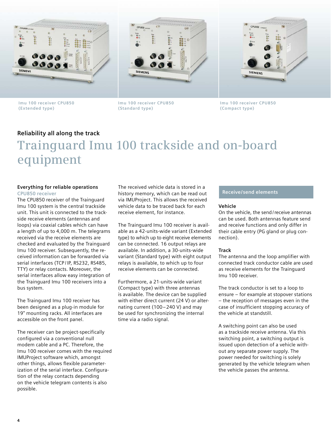





**Imu 100 receiver CPU850 (Extended type)**

**Imu 100 receiver CPU850 (Standard type)**

**Imu 100 receiver CPU850 (Compact type)**

### **Reliability all along the track**

# **Trainguard Imu 100 trackside and on-board equipment**

#### **Everything for reliable operations CPU850 receiver**

The CPU850 receiver of the Trainguard Imu 100 system is the central trackside unit. This unit is connected to the trackside receive elements (antennas and loops) via coaxial cables which can have a length of up to 4,000 m. The telegrams received via the receive elements are checked and evaluated by the Trainguard Imu 100 receiver. Subsequently, the received information can be forwarded via serial interfaces (TCP/IP, RS232, RS485, TTY) or relay contacts. Moreover, the serial interfaces allow easy integration of the Trainguard Imu 100 receivers into a bus system.

The Trainguard Imu 100 receiver has been designed as a plug-in module for 19" mounting racks. All interfaces are accessible on the front panel.

The receiver can be project-specifically configured via a conventional null modem cable and a PC. Therefore, the Imu 100 receiver comes with the required IMUProject software which, amongst other things, allows flexible parameterization of the serial interface. Configuration of the relay contacts depending on the vehicle telegram contents is also possible.

The received vehicle data is stored in a history memory, which can be read out via IMUProject. This allows the received vehicle data to be traced back for each receive element, for instance.

The Trainguard Imu 100 receiver is available as a 42-units-wide variant (Extended type) to which up to eight receive elements can be connected. 16 output relays are available. In addition, a 30-units-wide variant (Standard type) with eight output relays is available, to which up to four receive elements can be connected.

Furthermore, a 21-units-wide variant (Compact type) with three antennas is available. The device can be supplied with either direct current (24 V) or alternating current (100–240 V) and may be used for synchronizing the internal time via a radio signal.

#### **Receive/send elements**

#### **Vehicle**

On the vehicle, the send/receive antennas can be used. Both antennas feature send and receive functions and only differ in their cable entry (PG gland or plug connection).

#### **Track**

The antenna and the loop amplifier with connected track conductor cable are used as receive elements for the Trainguard Imu 100 receiver.

The track conductor is set to a loop to ensure – for example at stopover stations – the reception of messages even in the case of insufficient stopping accuracy of the vehicle at standstill.

A switching point can also be used as a trackside receive antenna. Via this switching point, a switching output is issued upon detection of a vehicle without any separate power supply. The power needed for switching is solely generated by the vehicle telegram when the vehicle passes the antenna.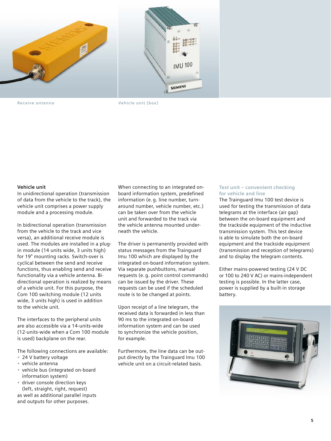



**Receive antenna Vehicle unit (box)** 

#### **Vehicle unit**

In unidirectional operation (transmission of data from the vehicle to the track), the vehicle unit comprises a power supply module and a processing module.

In bidirectional operation (transmission from the vehicle to the track and vice versa), an additional receive module is used. The modules are installed in a plugin module (14 units wide, 3 units high) for 19" mounting racks. Switch-over is cyclical between the send and receive functions, thus enabling send and receive functionality via a vehicle antenna. Bidirectional operation is realized by means of a vehicle unit. For this purpose, the Com 100 switching module (12 units wide, 3 units high) is used in addition to the vehicle unit.

The interfaces to the peripheral units are also accessible via a 14-units-wide (12-units-wide when a Com 100 module is used) backplane on the rear.

The following connections are available:

- 24 V battery voltage
- vehicle antenna
- vehicle bus (integrated on-board information system)
- driver console direction keys (left, straight, right, request)

as well as additional parallel inputs and outputs for other purposes.

When connecting to an integrated onboard information system, predefined information (e. g. line number, turnaround number, vehicle number, etc.) can be taken over from the vehicle unit and forwarded to the track via the vehicle antenna mounted underneath the vehicle.

The driver is permanently provided with status messages from the Trainguard Imu 100 which are displayed by the integrated on-board information system. Via separate pushbuttons, manual requests (e. g. point control commands) can be issued by the driver. These requests can be used if the scheduled route is to be changed at points.

Upon receipt of a line telegram, the received data is forwarded in less than 90 ms to the integrated on-board information system and can be used to synchronize the vehicle position, for example.

Furthermore, the line data can be output directly by the Trainguard Imu 100 vehicle unit on a circuit-related basis.

#### **Test unit – convenient checking for vehicle and line**

The Trainguard Imu 100 test device is used for testing the transmission of data telegrams at the interface (air gap) between the on-board equipment and the trackside equipment of the inductive transmission system. This test device is able to simulate both the on-board equipment and the trackside equipment (transmission and reception of telegrams) and to display the telegram contents.

Either mains-powered testing (24 V DC or 100 to 240 V AC) or mains-independent testing is possible. In the latter case, power is supplied by a built-in storage battery.

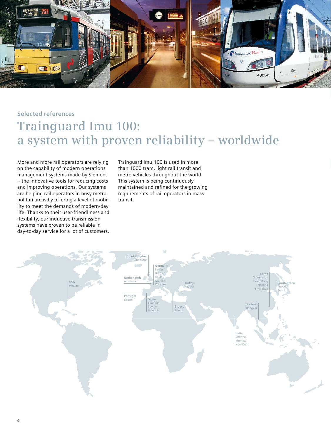

# **Selected references Trainguard Imu 100: a system with proven reliability – worldwide**

More and more rail operators are relying on the capability of modern operations management systems made by Siemens – the innovative tools for reducing costs and improving operations. Our systems are helping rail operators in busy metropolitan areas by offering a level of mobility to meet the demands of modern-day life. Thanks to their user-friendliness and flexibility, our inductive transmission systems have proven to be reliable in day-to-day service for a lot of customers.

Trainguard Imu 100 is used in more than 1000 tram, light rail transit and metro vehicles throughout the world. This system is being continuously maintained and refined for the growing requirements of rail operators in mass transit.

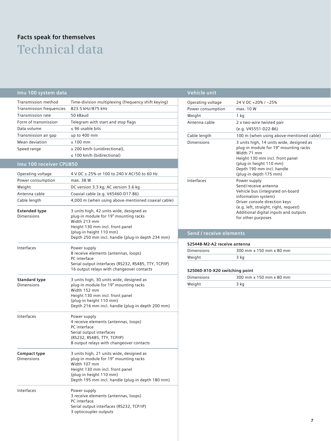### **Facts speak for themselves**

**Technical data** 

| Imu 100 system data                      |                                                                                                                                                                                                                     |
|------------------------------------------|---------------------------------------------------------------------------------------------------------------------------------------------------------------------------------------------------------------------|
| Transmission method                      | Time-division multiplexing (frequency shift keying)                                                                                                                                                                 |
| Transmission frequencies                 | 823.5 kHz/875 kHz                                                                                                                                                                                                   |
| Transmission rate                        | 50 kBaud                                                                                                                                                                                                            |
| Form of transmission                     | Telegram with start and stop flags                                                                                                                                                                                  |
| Data volume                              | $\leq$ 96 usable bits                                                                                                                                                                                               |
| Transmission air gap                     | up to 400 mm                                                                                                                                                                                                        |
| Mean deviation                           | $± 100$ mm                                                                                                                                                                                                          |
| Speed range                              | $\leq$ 200 km/h (unidirectional),                                                                                                                                                                                   |
|                                          | $\leq$ 100 km/h (bidirectional)                                                                                                                                                                                     |
| Imu 100 receiver CPU850                  |                                                                                                                                                                                                                     |
| Operating voltage                        | 4 V DC ± 25% or 100 to 240 V AC/50 to 60 Hz                                                                                                                                                                         |
| Power consumption                        | max. 38 W                                                                                                                                                                                                           |
| Weight                                   | DC version 3.3 kg; AC version 3.6 kg                                                                                                                                                                                |
| Antenna cable                            | Coaxial cable (e.g. V45460-D17-B6)                                                                                                                                                                                  |
| Cable length                             | 4,000 m (when using above-mentioned coaxial cable)                                                                                                                                                                  |
| <b>Extended type</b><br>Dimensions       | 3 units high, 42 units wide, designed as<br>plug-in module for 19" mounting racks<br>Width 213 mm<br>Height 130 mm incl. front panel<br>(plug-in height 110 mm)<br>Depth 250 mm incl. handle (plug-in depth 234 mm) |
| Interfaces                               | Power supply<br>8 receive elements (antennas, loops)<br>PC interface<br>Serial output interfaces (RS232, RS485, TTY, TCP/IP)<br>16 output relays with changeover contacts                                           |
| <b>Standard type</b><br>Dimensions       | 3 units high, 30 units wide, designed as<br>plug-in module for 19" mounting racks<br>Width 152 mm<br>Height 130 mm incl. front panel<br>(plug-in height 110 mm)<br>Depth 216 mm incl. handle (plug-in depth 200 mm) |
| Interfaces                               | Power supply<br>4 receive elements (antennas, loops)<br>PC interface<br>Serial output interfaces<br>(RS232, RS485, TTY, TCP/IP)<br>8 output relays with changeover contacts                                         |
| <b>Compact type</b><br><b>Dimensions</b> | 3 units high, 21 units wide, designed as<br>plug-in module for 19" mounting racks<br>Width 107 mm<br>Height 130 mm incl. front panel<br>(plug-in height 110 mm)<br>Depth 195 mm incl. handle (plug-in depth 180 mm) |
| Interfaces                               | Power supply<br>3 receive elements (antennas, loops)<br>PC interface<br>Serial output interfaces (RS232, TCP/IP)<br>3 optocoupler outputs                                                                           |

### **Vehicle unit**

| Operating voltage | 24 V DC +20% / -25%                                                                                                                                                                                                                      |
|-------------------|------------------------------------------------------------------------------------------------------------------------------------------------------------------------------------------------------------------------------------------|
| Power consumption | max. 10 W                                                                                                                                                                                                                                |
| Weight            | $1$ kg                                                                                                                                                                                                                                   |
| Antenna cable     | 2 x two-wire twisted pair                                                                                                                                                                                                                |
|                   | (e.g. V45551-D22-B6)                                                                                                                                                                                                                     |
| Cable length      | 100 m (when using above-mentioned cable)                                                                                                                                                                                                 |
| Dimensions        | 3 units high, 14 units wide, designed as<br>plug-in module for 19" mounting racks<br>Width 71 mm<br>Height 130 mm incl. front panel<br>(plug-in height 110 mm)<br>Depth 190 mm incl. handle<br>(plug-in depth 175 mm)                    |
| Interfaces        | Power supply<br>Send/receive antenna<br>Vehicle bus (integrated on-board<br>information system)<br>Driver console direction keys<br>(e.g. left, straight, right, request)<br>Additional digital inputs and outputs<br>for other purposes |

### **Send / receive elements**

| Dimensions | 300 mm x 150 mm x 80 mm |
|------------|-------------------------|
| Weight     | 3 kg                    |

#### **S25060-X10-X20 switching point**

| Dimensions | 300 mm x 150 mm x 80 mm |
|------------|-------------------------|
| Weight     | 3 kg                    |